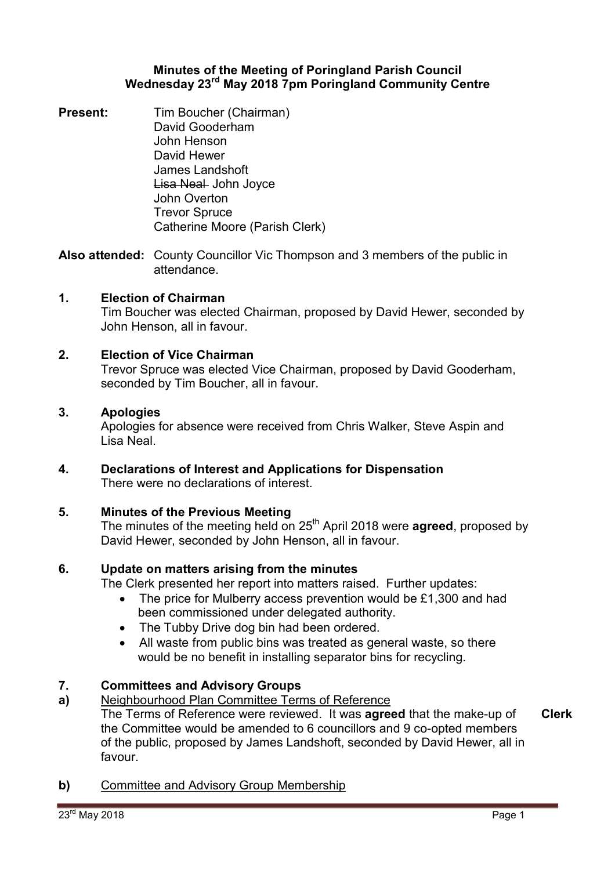### **Minutes of the Meeting of Poringland Parish Council Wednesday 23rd May 2018 7pm Poringland Community Centre**

**Present:** Tim Boucher (Chairman) David Gooderham John Henson David Hewer James Landshoft Lisa Neal John Joyce John Overton Trevor Spruce Catherine Moore (Parish Clerk)

**Also attended:** County Councillor Vic Thompson and 3 members of the public in attendance.

## **1. Election of Chairman**

Tim Boucher was elected Chairman, proposed by David Hewer, seconded by John Henson, all in favour.

## **2. Election of Vice Chairman**

Trevor Spruce was elected Vice Chairman, proposed by David Gooderham, seconded by Tim Boucher, all in favour.

#### **3. Apologies**

Apologies for absence were received from Chris Walker, Steve Aspin and Lisa Neal.

**4. Declarations of Interest and Applications for Dispensation** There were no declarations of interest.

## **5. Minutes of the Previous Meeting**

The minutes of the meeting held on 25th April 2018 were **agreed**, proposed by David Hewer, seconded by John Henson, all in favour.

## **6. Update on matters arising from the minutes**

The Clerk presented her report into matters raised. Further updates:

- The price for Mulberry access prevention would be £1,300 and had been commissioned under delegated authority.
- The Tubby Drive dog bin had been ordered.
- All waste from public bins was treated as general waste, so there would be no benefit in installing separator bins for recycling.

#### **7. Committees and Advisory Groups**

#### **a)**  Neighbourhood Plan Committee Terms of Reference

The Terms of Reference were reviewed. It was **agreed** that the make-up of the Committee would be amended to 6 councillors and 9 co-opted members of the public, proposed by James Landshoft, seconded by David Hewer, all in favour. **Clerk**

**b)** Committee and Advisory Group Membership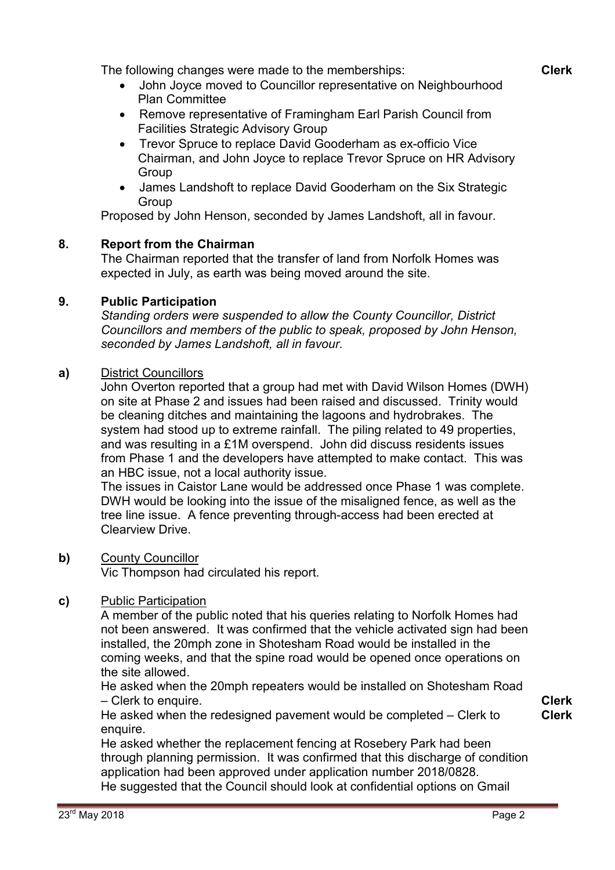The following changes were made to the memberships:

- John Joyce moved to Councillor representative on Neighbourhood Plan Committee
- Remove representative of Framingham Earl Parish Council from Facilities Strategic Advisory Group
- Trevor Spruce to replace David Gooderham as ex-officio Vice Chairman, and John Joyce to replace Trevor Spruce on HR Advisory **Group**
- James Landshoft to replace David Gooderham on the Six Strategic Group

Proposed by John Henson, seconded by James Landshoft, all in favour.

# **8. Report from the Chairman**

The Chairman reported that the transfer of land from Norfolk Homes was expected in July, as earth was being moved around the site.

# **9. Public Participation**

*Standing orders were suspended to allow the County Councillor, District Councillors and members of the public to speak, proposed by John Henson, seconded by James Landshoft, all in favour.* 

# **a)** District Councillors

John Overton reported that a group had met with David Wilson Homes (DWH) on site at Phase 2 and issues had been raised and discussed. Trinity would be cleaning ditches and maintaining the lagoons and hydrobrakes. The system had stood up to extreme rainfall. The piling related to 49 properties, and was resulting in a £1M overspend. John did discuss residents issues from Phase 1 and the developers have attempted to make contact. This was an HBC issue, not a local authority issue.

The issues in Caistor Lane would be addressed once Phase 1 was complete. DWH would be looking into the issue of the misaligned fence, as well as the tree line issue. A fence preventing through-access had been erected at Clearview Drive.

# **b)** County Councillor

Vic Thompson had circulated his report.

# **c)** Public Participation

A member of the public noted that his queries relating to Norfolk Homes had not been answered. It was confirmed that the vehicle activated sign had been installed, the 20mph zone in Shotesham Road would be installed in the coming weeks, and that the spine road would be opened once operations on the site allowed.

He asked when the 20mph repeaters would be installed on Shotesham Road – Clerk to enquire.

He asked when the redesigned pavement would be completed – Clerk to enquire.

**Clerk Clerk**

He asked whether the replacement fencing at Rosebery Park had been through planning permission. It was confirmed that this discharge of condition application had been approved under application number 2018/0828. He suggested that the Council should look at confidential options on Gmail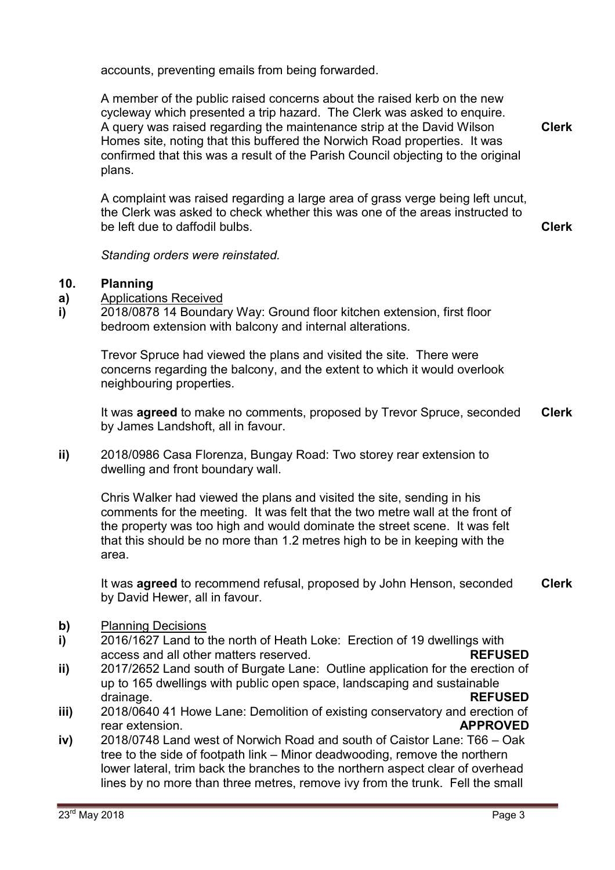accounts, preventing emails from being forwarded.

A member of the public raised concerns about the raised kerb on the new cycleway which presented a trip hazard. The Clerk was asked to enquire. A query was raised regarding the maintenance strip at the David Wilson Homes site, noting that this buffered the Norwich Road properties. It was confirmed that this was a result of the Parish Council objecting to the original plans. **Clerk**

A complaint was raised regarding a large area of grass verge being left uncut, the Clerk was asked to check whether this was one of the areas instructed to be left due to daffodil bulbs.

**Clerk**

*Standing orders were reinstated.* 

#### **10. Planning**

**a)**  Applications Received

**i)**  2018/0878 14 Boundary Way: Ground floor kitchen extension, first floor bedroom extension with balcony and internal alterations.

Trevor Spruce had viewed the plans and visited the site. There were concerns regarding the balcony, and the extent to which it would overlook neighbouring properties.

It was **agreed** to make no comments, proposed by Trevor Spruce, seconded by James Landshoft, all in favour. **Clerk**

**ii)** 2018/0986 Casa Florenza, Bungay Road: Two storey rear extension to dwelling and front boundary wall.

Chris Walker had viewed the plans and visited the site, sending in his comments for the meeting. It was felt that the two metre wall at the front of the property was too high and would dominate the street scene. It was felt that this should be no more than 1.2 metres high to be in keeping with the area.

It was **agreed** to recommend refusal, proposed by John Henson, seconded by David Hewer, all in favour. **Clerk**

- **b)** Planning Decisions
- **i)**  2016/1627 Land to the north of Heath Loke: Erection of 19 dwellings with access and all other matters reserved. **REFUSED**
- **ii)**  2017/2652 Land south of Burgate Lane: Outline application for the erection of up to 165 dwellings with public open space, landscaping and sustainable drainage. **REFUSED**
- **iii)**  2018/0640 41 Howe Lane: Demolition of existing conservatory and erection of rear extension. **APPROVED**
- **iv)**  2018/0748 Land west of Norwich Road and south of Caistor Lane: T66 – Oak tree to the side of footpath link – Minor deadwooding, remove the northern lower lateral, trim back the branches to the northern aspect clear of overhead lines by no more than three metres, remove ivy from the trunk. Fell the small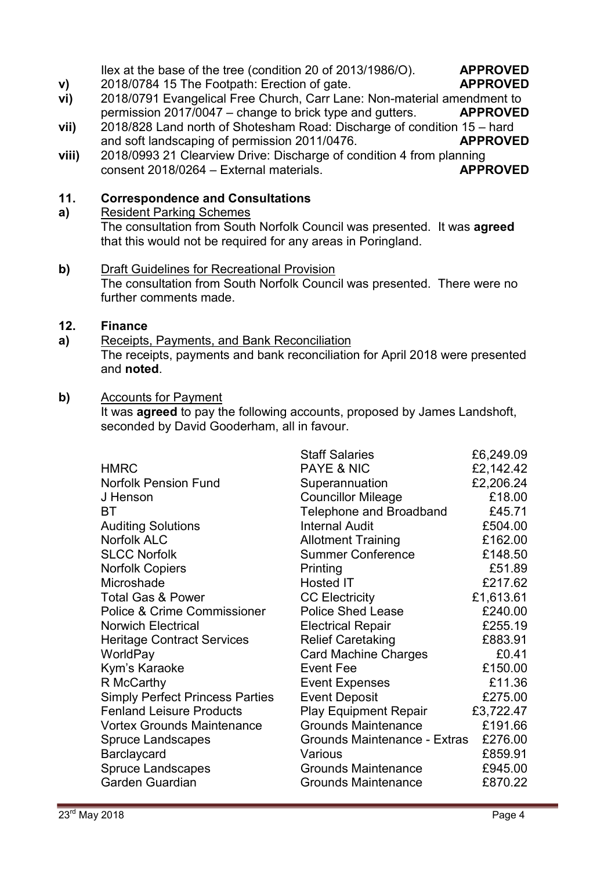Ilex at the base of the tree (condition 20 of 2013/1986/O). **APPROVED**

# 2018/0784 15 The Footpath: Erection of gate. **APPROVED**

- **v) vi)**  2018/0791 Evangelical Free Church, Carr Lane: Non-material amendment to permission 2017/0047 – change to brick type and gutters. **APPROVED**
- **vii)**  2018/828 Land north of Shotesham Road: Discharge of condition 15 – hard and soft landscaping of permission 2011/0476. **APPROVED**
- **viii)**  2018/0993 21 Clearview Drive: Discharge of condition 4 from planning consent 2018/0264 – External materials. **APPROVED**

#### **11. Correspondence and Consultations**

Resident Parking Schemes The consultation from South Norfolk Council was presented. It was **agreed**  that this would not be required for any areas in Poringland.

**b)** Draft Guidelines for Recreational Provision The consultation from South Norfolk Council was presented. There were no further comments made.

#### **12. Finance**

**a)** 

**a)**  Receipts, Payments, and Bank Reconciliation The receipts, payments and bank reconciliation for April 2018 were presented and **noted**.

# **b)** Accounts for Payment

It was **agreed** to pay the following accounts, proposed by James Landshoft, seconded by David Gooderham, all in favour.

| <b>Staff Salaries</b>        | £6,249.09                                                                                                        |
|------------------------------|------------------------------------------------------------------------------------------------------------------|
| <b>PAYE &amp; NIC</b>        | £2,142.42                                                                                                        |
| Superannuation               | £2,206.24                                                                                                        |
| <b>Councillor Mileage</b>    | £18.00                                                                                                           |
| Telephone and Broadband      | £45.71                                                                                                           |
| <b>Internal Audit</b>        | £504.00                                                                                                          |
| <b>Allotment Training</b>    | £162.00                                                                                                          |
| <b>Summer Conference</b>     | £148.50                                                                                                          |
| Printing                     | £51.89                                                                                                           |
| Hosted IT                    | £217.62                                                                                                          |
| <b>CC Electricity</b>        | £1,613.61                                                                                                        |
| <b>Police Shed Lease</b>     | £240.00                                                                                                          |
| <b>Electrical Repair</b>     | £255.19                                                                                                          |
| <b>Relief Caretaking</b>     | £883.91                                                                                                          |
| <b>Card Machine Charges</b>  | £0.41                                                                                                            |
| Event Fee                    | £150.00                                                                                                          |
| <b>Event Expenses</b>        | £11.36                                                                                                           |
|                              | £275.00                                                                                                          |
| <b>Play Equipment Repair</b> | £3,722.47                                                                                                        |
|                              | £191.66                                                                                                          |
|                              | £276.00                                                                                                          |
| Various                      | £859.91                                                                                                          |
| <b>Grounds Maintenance</b>   | £945.00                                                                                                          |
|                              | £870.22                                                                                                          |
|                              | <b>Event Deposit</b><br><b>Grounds Maintenance</b><br>Grounds Maintenance - Extras<br><b>Grounds Maintenance</b> |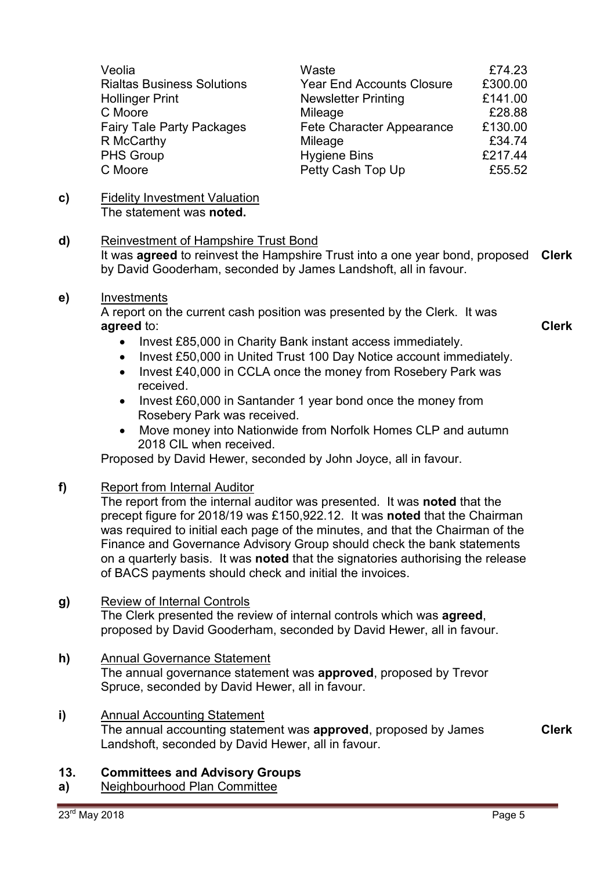| Veolia                            | Waste                            | £74.23  |
|-----------------------------------|----------------------------------|---------|
| <b>Rialtas Business Solutions</b> | <b>Year End Accounts Closure</b> | £300.00 |
| <b>Hollinger Print</b>            | <b>Newsletter Printing</b>       | £141.00 |
| C Moore                           | Mileage                          | £28.88  |
| <b>Fairy Tale Party Packages</b>  | Fete Character Appearance        | £130.00 |
| R McCarthy                        | Mileage                          | £34.74  |
| <b>PHS Group</b>                  | <b>Hygiene Bins</b>              | £217.44 |
| C Moore                           | Petty Cash Top Up                | £55.52  |

#### **c)** Fidelity Investment Valuation The statement was **noted.**

### **d)** Reinvestment of Hampshire Trust Bond

It was **agreed** to reinvest the Hampshire Trust into a one year bond, proposed **Clerk** by David Gooderham, seconded by James Landshoft, all in favour.

### **e)** Investments

A report on the current cash position was presented by the Clerk. It was **agreed** to:

- Invest £85,000 in Charity Bank instant access immediately.
- Invest £50,000 in United Trust 100 Day Notice account immediately.
- Invest £40,000 in CCLA once the money from Rosebery Park was received.
- Invest £60,000 in Santander 1 year bond once the money from Rosebery Park was received.
- Move money into Nationwide from Norfolk Homes CLP and autumn 2018 CIL when received.

Proposed by David Hewer, seconded by John Joyce, all in favour.

**f)** Report from Internal Auditor

The report from the internal auditor was presented. It was **noted** that the precept figure for 2018/19 was £150,922.12. It was **noted** that the Chairman was required to initial each page of the minutes, and that the Chairman of the Finance and Governance Advisory Group should check the bank statements on a quarterly basis. It was **noted** that the signatories authorising the release of BACS payments should check and initial the invoices.

#### **g)** Review of Internal Controls

The Clerk presented the review of internal controls which was **agreed**, proposed by David Gooderham, seconded by David Hewer, all in favour.

- **h)** Annual Governance Statement The annual governance statement was **approved**, proposed by Trevor Spruce, seconded by David Hewer, all in favour.
- **i)** Annual Accounting Statement The annual accounting statement was **approved**, proposed by James Landshoft, seconded by David Hewer, all in favour.

#### **13. Committees and Advisory Groups**

**a)**  Neighbourhood Plan Committee **Clerk**

**Clerk**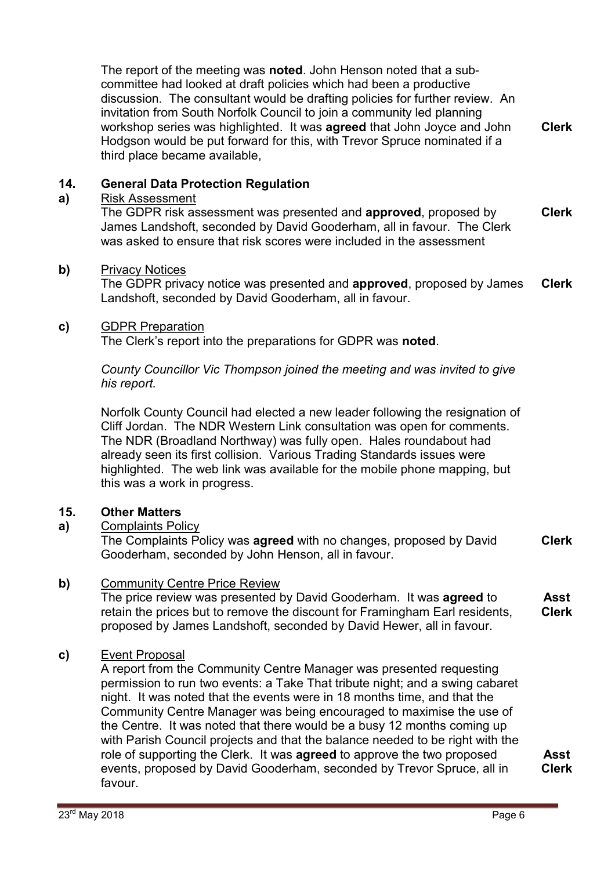The report of the meeting was **noted**. John Henson noted that a subcommittee had looked at draft policies which had been a productive discussion. The consultant would be drafting policies for further review. An invitation from South Norfolk Council to join a community led planning workshop series was highlighted. It was **agreed** that John Joyce and John Hodgson would be put forward for this, with Trevor Spruce nominated if a third place became available, **Clerk**

#### **14. General Data Protection Regulation**

#### **a)**  Risk Assessment

The GDPR risk assessment was presented and **approved**, proposed by James Landshoft, seconded by David Gooderham, all in favour. The Clerk was asked to ensure that risk scores were included in the assessment **Clerk**

### **b)** Privacy Notices

The GDPR privacy notice was presented and **approved**, proposed by James Landshoft, seconded by David Gooderham, all in favour. **Clerk**

### **c)** GDPR Preparation

The Clerk's report into the preparations for GDPR was **noted**.

*County Councillor Vic Thompson joined the meeting and was invited to give his report.* 

Norfolk County Council had elected a new leader following the resignation of Cliff Jordan. The NDR Western Link consultation was open for comments. The NDR (Broadland Northway) was fully open. Hales roundabout had already seen its first collision. Various Trading Standards issues were highlighted. The web link was available for the mobile phone mapping, but this was a work in progress.

## **15. Other Matters**

## **a)** Complaints Policy

The Complaints Policy was **agreed** with no changes, proposed by David Gooderham, seconded by John Henson, all in favour. **Clerk**

## **b)** Community Centre Price Review

The price review was presented by David Gooderham. It was **agreed** to retain the prices but to remove the discount for Framingham Earl residents, proposed by James Landshoft, seconded by David Hewer, all in favour. **Asst Clerk**

## **c)** Event Proposal

A report from the Community Centre Manager was presented requesting permission to run two events: a Take That tribute night; and a swing cabaret night. It was noted that the events were in 18 months time, and that the Community Centre Manager was being encouraged to maximise the use of the Centre. It was noted that there would be a busy 12 months coming up with Parish Council projects and that the balance needed to be right with the role of supporting the Clerk. It was **agreed** to approve the two proposed events, proposed by David Gooderham, seconded by Trevor Spruce, all in favour.

**Asst Clerk**